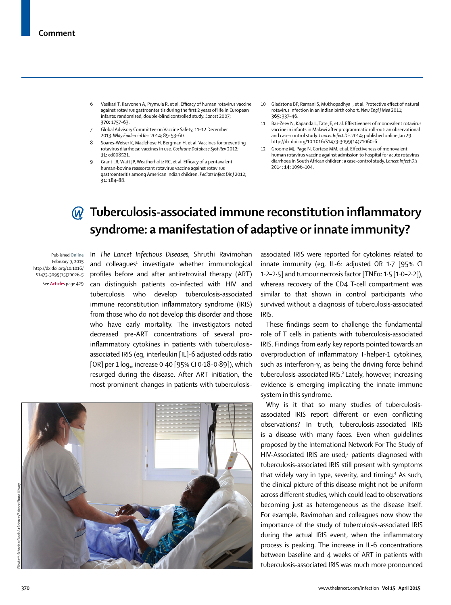- 6 Vesikari T, Karvonen A, Prymula R, et al. Efficacy of human rotavirus vaccine against rotavirus gastroenteritis during the first 2 years of life in European infants: randomised, double-blind controlled study. *Lancet* 2007; **370:** 1757–63.
- 7 Global Advisory Committee on Vaccine Safety, 11–12 December 2013. *Wkly Epidemiol Rec* 2014; 89: 53–60.
- 8 Soares-Weiser K, Maclehose H, Bergman H, et al. Vaccines for preventing rotavirus diarrhoea: vaccines in use. *Cochrane Database Syst Rev* 2012; **11:** cd008521.
- 9 Grant LR, Watt JP, Weatherholtz RC, et al. Efficacy of a pentavalent human-bovine reassortant rotavirus vaccine against rotavirus gastroenteritis among American Indian children. *Pediatr Infect Dis J* 2012; **31:** 184–88.
- 10 Gladstone BP, Ramani S, Mukhopadhya I, et al. Protective effect of natural rotavirus infection in an Indian birth cohort. *New Engl J Med* 2011; **365:** 337–46.
- 11 Bar-Zeev N, Kapanda L, Tate JE, et al. Effectiveness of monovalent rotavirus vaccine in infants in Malawi after programmatic roll-out: an observational and case-control study. *Lancet Infect Dis* 2014; published online Jan 29. http://dx.doi.org/10.1016/S1473-3099(14)71060-6.
- 12 Groome MJ, Page N, Cortese MM, et al. Effectiveness of monovalent human rotavirus vaccine against admission to hospital for acute rotavirus diarrhoea in South African children: a case-control study. *Lancet Infect Dis*  2014; **14:** 1096–104.

## **M** Tuberculosis-associated immune reconstitution inflammatory **syndrome: a manifestation of adaptive or innate immunity?**

Published **Online** February 9, 2015 http://dx.doi.org/10.1016/ S1473-3099(15)70026-5 See **Articles** page 429

In *The Lancet Infectious Diseases,* Shruthi Ravimohan and colleagues<sup>1</sup> investigate whether immunological profiles before and after antiretroviral therapy (ART) can distinguish patients co-infected with HIV and tuberculosis who develop tuberculosis-associated immune reconstitution inflammatory syndrome (IRIS) from those who do not develop this disorder and those who have early mortality. The investigators noted decreased pre-ART concentrations of several proinflammatory cytokines in patients with tuberculosisassociated IRIS (eg, interleukin [IL]-6 adjusted odds ratio [OR] per 1  $log_{10}$  increase 0.40 [95% CI 0.18-0.89]), which resurged during the disease. After ART initiation, the most prominent changes in patients with tuberculosis-



associated IRIS were reported for cytokines related to innate immunity (eg, IL-6: adjusted OR 1·7 [95% CI 1·2–2·5] and tumour necrosis factor [TNFα: 1·5 [1·0–2·2]), whereas recovery of the CD4 T-cell compartment was similar to that shown in control participants who survived without a diagnosis of tuberculosis-associated IRIS.

These findings seem to challenge the fundamental role of T cells in patients with tuberculosis-associated IRIS. Findings from early key reports pointed towards an overproduction of inflammatory T-helper-1 cytokines, such as interferon-γ, as being the driving force behind tuberculosis-associated IRIS.<sup>2</sup> Lately, however, increasing evidence is emerging implicating the innate immune system in this syndrome.

Why is it that so many studies of tuberculosisassociated IRIS report different or even conflicting observations? In truth, tuberculosis-associated IRIS is a disease with many faces. Even when guidelines proposed by the International Network For The Study of HIV-Associated IRIS are used,<sup>3</sup> patients diagnosed with tuberculosis-associated IRIS still present with symptoms that widely vary in type, severity, and timing.<sup>4</sup> As such, the clinical picture of this disease might not be uniform across different studies, which could lead to observations becoming just as heterogeneous as the disease itself. For example, Ravimohan and colleagues now show the importance of the study of tuberculosis-associated IRIS during the actual IRIS event, when the inflammatory process is peaking. The increase in IL-6 concentrations between baseline and 4 weeks of ART in patients with tuberculosis-associated IRIS was much more pronounced